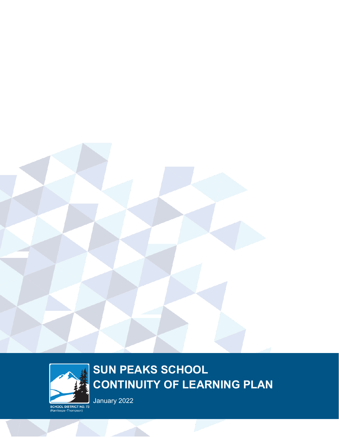



loops - Thompson)

# **SUN PEAKS SCHOOL CONTINUITY OF LEARNING PLAN**

January 2022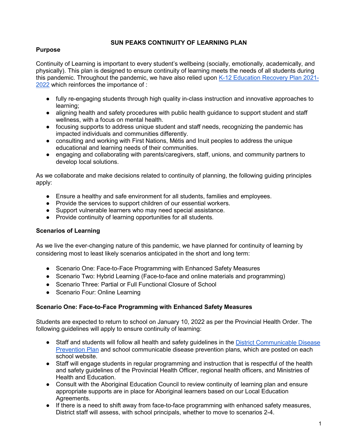#### **SUN PEAKS CONTINUITY OF LEARNING PLAN**

### **Purpose**

Continuity of Learning is important to every student's wellbeing (socially, emotionally, academically, and physically). This plan is designed to ensure continuity of learning meets the needs of all students during this pandemic. Throughout the pandemic, we have also relied upon [K-12 Education Recovery Plan 2021-](https://www2.gov.bc.ca/assets/gov/education/administration/kindergarten-to-grade-12/safe-caring-orderly/k-12-education-recovery-plan.pdf) [2022](https://www2.gov.bc.ca/assets/gov/education/administration/kindergarten-to-grade-12/safe-caring-orderly/k-12-education-recovery-plan.pdf) which reinforces the importance of :

- fully re-engaging students through high quality in-class instruction and innovative approaches to learning;
- aligning health and safety procedures with public health guidance to support student and staff wellness, with a focus on mental health.
- focusing supports to address unique student and staff needs, recognizing the pandemic has impacted individuals and communities differently.
- consulting and working with First Nations, Métis and Inuit peoples to address the unique educational and learning needs of their communities.
- engaging and collaborating with parents/caregivers, staff, unions, and community partners to develop local solutions.

As we collaborate and make decisions related to continuity of planning, the following guiding principles apply:

- Ensure a healthy and safe environment for all students, families and employees.
- Provide the services to support children of our essential workers.
- Support vulnerable learners who may need special assistance.
- Provide continuity of learning opportunities for all students.

### **Scenarios of Learning**

As we live the ever-changing nature of this pandemic, we have planned for continuity of learning by considering most to least likely scenarios anticipated in the short and long term:

- Scenario One: Face-to-Face Programming with Enhanced Safety Measures
- Scenario Two: Hybrid Learning (Face-to-face and online materials and programming)
- Scenario Three: Partial or Full Functional Closure of School
- Scenario Four: Online Learning

### **Scenario One: Face-to-Face Programming with Enhanced Safety Measures**

Students are expected to return to school on January 10, 2022 as per the Provincial Health Order. The following guidelines will apply to ensure continuity of learning:

- Staff and students will follow all health and safety guidelines in the District Communicable Disease [Prevention Plan](https://www.sd73.bc.ca/en/community-parents-and-students/resources/CDPP/SD73-CDPP-Safe-and-Healthy-Facilities.pdf) and school communicable disease prevention plans, which are posted on each school website.
- Staff will engage students in regular programming and instruction that is respectful of the health and safety guidelines of the Provincial Health Officer, regional health officers, and Ministries of Health and Education.
- Consult with the Aboriginal Education Council to review continuity of learning plan and ensure appropriate supports are in place for Aboriginal learners based on our Local Education Agreements.
- If there is a need to shift away from face-to-face programming with enhanced safety measures, District staff will assess, with school principals, whether to move to scenarios 2-4.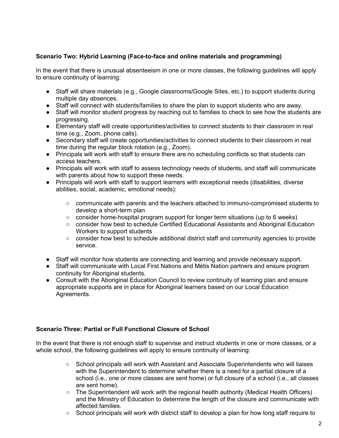# **Scenario Two: Hybrid Learning (Face-to-face and online materials and programming)**

In the event that there is unusual absenteeism in one or more classes, the following guidelines will apply to ensure continuity of learning:

- Staff will share materials (e.g., Google classrooms/Google Sites, etc.) to support students during multiple day absences.
- Staff will connect with students/families to share the plan to support students who are away.
- Staff will monitor student progress by reaching out to families to check to see how the students are progressing.
- Elementary staff will create opportunities/activities to connect students to their classroom in real time (e.g., Zoom, phone calls).
- Secondary staff will create opportunities/activities to connect students to their classroom in real time during the regular block rotation (e.g., Zoom).
- Principals will work with staff to ensure there are no scheduling conflicts so that students can access teachers.
- Principals will work with staff to assess technology needs of students, and staff will communicate with parents about how to support these needs.
- Principals will work with staff to support learners with exceptional needs (disabilities, diverse abilities, social, academic, emotional needs):
	- communicate with parents and the teachers attached to immuno-compromised students to develop a short-term plan
	- consider home-hospital program support for longer term situations (up to 6 weeks)
	- consider how best to schedule Certified Educational Assistants and Aboriginal Education Workers to support students
	- consider how best to schedule additional district staff and community agencies to provide service.
- Staff will monitor how students are connecting and learning and provide necessary support.
- Staff will communicate with Local First Nations and Métis Nation partners and ensure program continuity for Aboriginal students.
- Consult with the Aboriginal Education Council to review continuity of learning plan and ensure appropriate supports are in place for Aboriginal learners based on our Local Education Agreements.

#### **Scenario Three: Partial or Full Functional Closure of School**

In the event that there is not enough staff to supervise and instruct students in one or more classes, or a whole school, the following quidelines will apply to ensure continuity of learning:

- School principals will work with Assistant and Associate Superintendents who will liaises with the Superintendent to determine whether there is a need for a partial closure of a school (i.e., one or more classes are sent home) or full closure of a school (i.e., all classes are sent home).
- The Superintendent will work with the regional health authority (Medical Health Officers) and the Ministry of Education to determine the length of the closure and communicate with affected families.
- $\circ$  School principals will work with district staff to develop a plan for how long staff require to